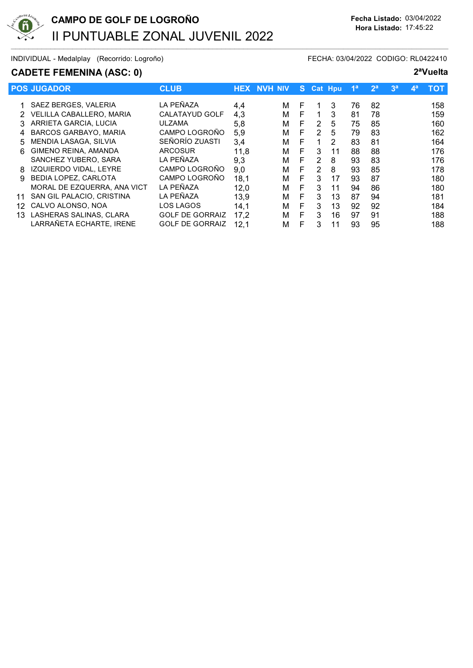

### CADETE FEMENINA (ASC: 0) 2<sup>a</sup>Vuelta

|    | <b>POS JUGADOR</b>              | <b>CLUB</b>            |      | <b>HEX NVH NIV</b> | S. |   | <b>Cat Hpu</b> | 1 <sup>a</sup> | 2 <sup>a</sup> | 3 <sup>a</sup> | $\mathbf{4}^{\mathsf{a}}$ | тот |
|----|---------------------------------|------------------------|------|--------------------|----|---|----------------|----------------|----------------|----------------|---------------------------|-----|
|    | SAEZ BERGES, VALERIA            | LA PEÑAZA              | 4,4  | м                  | F  |   | 3              | 76             | 82             |                |                           | 158 |
|    | <b>VELILLA CABALLERO, MARIA</b> | CALATAYUD GOLF         | 4,3  | М                  | F. | 1 | 3              | 81             | 78             |                |                           | 159 |
| 3  | ARRIETA GARCIA, LUCIA           | <b>ULZAMA</b>          | 5,8  | М                  | F  | 2 | 5              | 75             | 85             |                |                           | 160 |
| 4  | <b>BARCOS GARBAYO, MARIA</b>    | CAMPO LOGROÑO          | 5,9  | м                  | F. | 2 | 5              | 79             | 83             |                |                           | 162 |
| .5 | MENDIA LASAGA, SILVIA           | SEÑORÍO ZUASTI         | 3,4  | М                  | F  |   | 2              | 83             | 81             |                |                           | 164 |
| 6  | GIMENO REINA, AMANDA            | <b>ARCOSUR</b>         | 11,8 | М                  | F  | 3 | 11             | 88             | 88             |                |                           | 176 |
|    | SANCHEZ YUBERO, SARA            | LA PEÑAZA              | 9,3  | M                  | F. | 2 | 8              | 93             | 83             |                |                           | 176 |
| 8  | IZQUIERDO VIDAL, LEYRE          | CAMPO LOGROÑO          | 9,0  | М                  | F  | 2 | 8              | 93             | 85             |                |                           | 178 |
| 9  | <b>BEDIA LOPEZ, CARLOTA</b>     | CAMPO LOGROÑO          | 18,1 | М                  | F  | 3 | 17             | 93             | 87             |                |                           | 180 |
|    | MORAL DE EZQUERRA, ANA VICT     | LA PEÑAZA              | 12,0 | M                  | F  | 3 | 11             | 94             | 86             |                |                           | 180 |
| 11 | SAN GIL PALACIO, CRISTINA       | LA PEÑAZA              | 13,9 | м                  | F  | 3 | 13             | 87             | 94             |                |                           | 181 |
| 12 | CALVO ALONSO, NOA               | LOS LAGOS              | 14,1 | М                  | F  | 3 | 13             | 92             | 92             |                |                           | 184 |
| 13 | LASHERAS SALINAS, CLARA         | <b>GOLF DE GORRAIZ</b> | 17,2 | M                  | F  | 3 | 16             | 97             | 91             |                |                           | 188 |
|    | LARRAÑETA ECHARTE, IRENE        | <b>GOLF DE GORRAIZ</b> | 12,1 | М                  | F  | 3 | 11             | 93             | 95             |                |                           | 188 |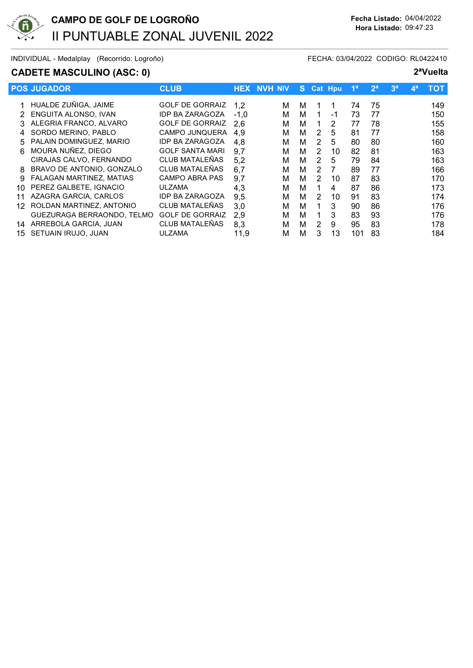

## CADETE MASCULINO (ASC: 0) 2<sup>a</sup>Vuelta

|     | <b>POS JUGADOR</b>              | <b>CLUB</b>            |        | <b>HEX NVH NIV</b> | S. |                | <b>Cat Hpu</b> | 1 <sup>a</sup> | 2 <sup>a</sup> | 3 <sup>a</sup> | $\mathbf{A}^{\mathbf{a}}$ | <b>TOT</b> |
|-----|---------------------------------|------------------------|--------|--------------------|----|----------------|----------------|----------------|----------------|----------------|---------------------------|------------|
|     | 1 HUALDE ZUÑIGA, JAIME          | <b>GOLF DE GORRAIZ</b> | 1,2    | м                  | м  |                |                | 74             | 75             |                |                           | 149        |
|     | ENGUITA ALONSO, IVAN            | <b>IDP BA ZARAGOZA</b> | $-1.0$ | м                  | м  |                | -1             | 73             | 77             |                |                           | 150        |
|     | ALEGRIA FRANCO, ALVARO          | <b>GOLF DE GORRAIZ</b> | 2.6    | м                  | м  |                | 2              | 77             | 78             |                |                           | 155        |
|     | SORDO MERINO, PABLO             | <b>CAMPO JUNQUERA</b>  | 4.9    | м                  | м  | 2              | 5              | 81             | 77             |                |                           | 158        |
| 5   | PALAIN DOMINGUEZ, MARIO         | <b>IDP BA ZARAGOZA</b> | 4.8    | м                  | м  | 2              | 5              | 80             | 80             |                |                           | 160        |
| 6   | MOURA NUÑEZ, DIEGO              | <b>GOLF SANTA MARI</b> | 9,7    | м                  | м  | 2              | 10             | 82             | 81             |                |                           | 163        |
|     | CIRAJAS CALVO, FERNANDO         | CLUB MATALEÑAS         | 5,2    | м                  | м  | $\overline{2}$ | 5              | 79             | 84             |                |                           | 163        |
| 8   | BRAVO DE ANTONIO, GONZALO       | CLUB MATALEÑAS         | 6,7    | м                  | м  | 2              | 7              | 89             | 77             |                |                           | 166        |
| 9   | <b>FALAGAN MARTINEZ, MATIAS</b> | <b>CAMPO ABRA PAS</b>  | 9,7    | м                  | м  | 2              | 10             | 87             | 83             |                |                           | 170        |
| 10  | PEREZ GALBETE, IGNACIO          | ULZAMA                 | 4,3    | м                  | м  |                | 4              | 87             | 86             |                |                           | 173        |
|     | AZAGRA GARCIA, CARLOS           | <b>IDP BA ZARAGOZA</b> | 9,5    | м                  | м  | 2              | 10             | 91             | 83             |                |                           | 174        |
| 12. | ROLDAN MARTINEZ, ANTONIO        | CLUB MATALEÑAS         | 3,0    | м                  | м  |                | 3              | 90             | 86             |                |                           | 176        |
|     | GUEZURAGA BERRAONDO, TELMO      | <b>GOLF DE GORRAIZ</b> | 2,9    | м                  | м  |                | 3              | 83             | 93             |                |                           | 176        |
| 14  | ARREBOLA GARCIA, JUAN           | CLUB MATALEÑAS         | 8,3    | м                  | м  | 2              | 9              | 95             | 83             |                |                           | 178        |
| 15  | SETUAIN IRUJO, JUAN             | ULZAMA                 | 11,9   | м                  | М  | 3              | 13             | 101            | 83             |                |                           | 184        |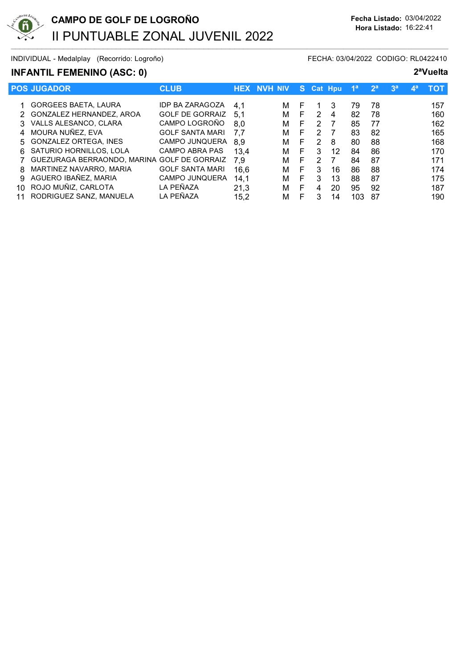

# INFANTIL FEMENINO (ASC: 0) 2ªVuelta

|    | <b>POS JUGADOR</b>                          | <b>CLUB</b>            | <b>HEX</b> | . NVH NIV |   | S. |   | <b>Cat Hpu</b> | 1 <sup>a</sup> | 2 <sup>a</sup> | 3 <sup>a</sup> | $\mathbf{A}^{\mathbf{a}}$ | тот |
|----|---------------------------------------------|------------------------|------------|-----------|---|----|---|----------------|----------------|----------------|----------------|---------------------------|-----|
|    | <b>GORGEES BAETA, LAURA</b>                 | <b>IDP BA ZARAGOZA</b> | 4.1        |           | м | F  |   | 3              | 79             | 78             |                |                           | 157 |
| 2. | GONZALEZ HERNANDEZ, AROA                    | <b>GOLF DE GORRAIZ</b> | 5.1        |           | М | F  | 2 | 4              | 82             | 78             |                |                           | 160 |
|    |                                             |                        |            |           |   |    |   |                |                |                |                |                           |     |
|    | 3 VALLS ALESANCO, CLARA                     | CAMPO LOGROÑO          | 8.0        |           | М | F  | 2 |                | 85             | 77             |                |                           | 162 |
|    | 4 MOURA NUÑEZ, EVA                          | <b>GOLF SANTA MARI</b> | 7.7        |           | м | F  | 2 |                | 83             | 82             |                |                           | 165 |
|    | 5 GONZALEZ ORTEGA, INES                     | CAMPO JUNQUERA         | 8.9        |           | м | F. | 2 | 8              | 80             | 88             |                |                           | 168 |
|    | 6 SATURIO HORNILLOS, LOLA                   | <b>CAMPO ABRA PAS</b>  | 13.4       |           | М | F  | 3 | 12             | 84             | 86             |                |                           | 170 |
|    | GUEZURAGA BERRAONDO, MARINA GOLF DE GORRAIZ |                        | 7.9        |           | М | F  | 2 |                | 84             | 87             |                |                           | 171 |
| 8  | MARTINEZ NAVARRO, MARIA                     | <b>GOLF SANTA MARI</b> | 16.6       |           | м | F  | 3 | 16             | 86             | 88             |                |                           | 174 |
| 9. | AGUERO IBAÑEZ, MARIA                        | <b>CAMPO JUNQUERA</b>  | 14.1       |           | м | F  | 3 | 13             | 88             | 87             |                |                           | 175 |
| 10 | ROJO MUÑIZ, CARLOTA                         | LA PEÑAZA              | 21,3       |           | м | F  | 4 | 20             | 95             | 92             |                |                           | 187 |
|    | RODRIGUEZ SANZ, MANUELA                     | LA PEÑAZA              | 15,2       |           | м | F  | 3 | 14             | 103            | 87             |                |                           | 190 |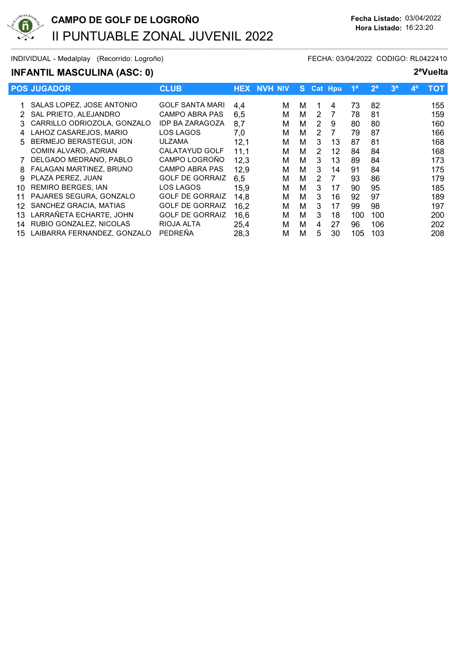

### INFANTIL MASCULINA (ASC: 0) 2ªVuelta

|    | <b>POS JUGADOR</b>          | <b>CLUB</b>            |      | <b>HEX NVH NIV</b> |   |               | S Cat Hpu | 1 <sup>a</sup> | 2 <sup>a</sup> | 3 <sup>a</sup> | $\mathbf{A}^{\mathbf{a}}$ | <b>TOT</b> |
|----|-----------------------------|------------------------|------|--------------------|---|---------------|-----------|----------------|----------------|----------------|---------------------------|------------|
|    | 1 SALAS LOPEZ, JOSE ANTONIO | <b>GOLF SANTA MARI</b> | 4,4  | м                  | м |               | 4         | 73             | 82             |                |                           | 155        |
|    | SAL PRIETO, ALEJANDRO       | CAMPO ABRA PAS         | 6.5  | М                  | м | 2             |           | 78             | 81             |                |                           | 159        |
|    | CARRILLO ODRIOZOLA, GONZALO | <b>IDP BA ZARAGOZA</b> | 8,7  | м                  | м | 2             | 9         | 80             | 80             |                |                           | 160        |
| 4  | LAHOZ CASAREJOS, MARIO      | LOS LAGOS              | 7,0  | М                  | м | 2             | 7         | 79             | 87             |                |                           | 166        |
| 5. | BERMEJO BERASTEGUI, JON     | ULZAMA                 | 12,1 | М                  | м | 3             | 13        | 87             | 81             |                |                           | 168        |
|    | COMIN ALVARO, ADRIAN        | <b>CALATAYUD GOLF</b>  | 11,1 | М                  | м | 2             | 12        | 84             | 84             |                |                           | 168        |
|    | DELGADO MEDRANO, PABLO      | CAMPO LOGROÑO          | 12,3 | М                  | м | 3             | 13        | 89             | 84             |                |                           | 173        |
| 8  | FALAGAN MARTINEZ, BRUNO     | CAMPO ABRA PAS         | 12,9 | М                  | м | 3             | 14        | 91             | 84             |                |                           | 175        |
| 9  | PLAZA PEREZ. JUAN           | <b>GOLF DE GORRAIZ</b> | 6.5  | М                  | м | $\mathcal{P}$ | 7         | 93             | 86             |                |                           | 179        |
| 10 | <b>REMIRO BERGES, IAN</b>   | LOS LAGOS              | 15,9 | м                  | м | 3             | 17        | 90             | 95             |                |                           | 185        |
| 11 | PAJARES SEGURA, GONZALO     | <b>GOLF DE GORRAIZ</b> | 14,8 | М                  | м | 3             | 16        | 92             | 97             |                |                           | 189        |
| 12 | SANCHEZ GRACIA, MATIAS      | <b>GOLF DE GORRAIZ</b> | 16,2 | М                  | м | 3             | 17        | 99             | 98             |                |                           | 197        |
| 13 | LARRAÑETA ECHARTE, JOHN     | <b>GOLF DE GORRAIZ</b> | 16,6 | М                  | м | 3             | 18        | 100            | 100            |                |                           | 200        |
| 14 | RUBIO GONZALEZ, NICOLAS     | RIOJA ALTA             | 25,4 | М                  | м | 4             | 27        | 96             | 106            |                |                           | 202        |
| 15 | LAIBARRA FERNANDEZ. GONZALO | PEDREÑA                | 28,3 | М                  | М | 5             | 30        | 105            | 103            |                |                           | 208        |
|    |                             |                        |      |                    |   |               |           |                |                |                |                           |            |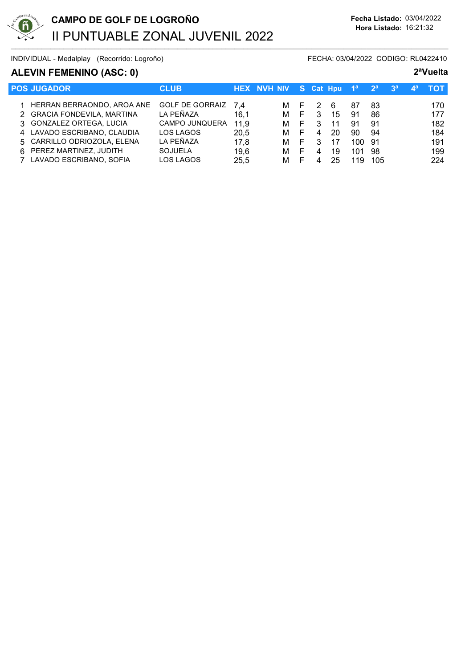

### ALEVIN FEMENINO (ASC: 0) 2<sup>a</sup>Vuelta

| <b>POS JUGADOR</b>           | <b>CLUB</b>            |      | HEX NVH NIV' |    |   | S Cat Hpu | 1 <sup>a</sup> | 2 <sup>a</sup> | 3 <sup>a</sup> | гот |
|------------------------------|------------------------|------|--------------|----|---|-----------|----------------|----------------|----------------|-----|
| 1 HERRAN BERRAONDO, AROA ANE | <b>GOLF DE GORRAIZ</b> | 7.4  | M            | F. |   | -6        | 87             | 83             |                | 170 |
| 2 GRACIA FONDEVILA, MARTINA  | LA PEÑAZA              | 16,1 | м            | F  | 3 | 15        | 91             | 86             |                | 177 |
| 3 GONZALEZ ORTEGA, LUCIA     | <b>CAMPO JUNQUERA</b>  | 11,9 | м            | F. | 3 | 11        | 91             | 91             |                | 182 |
| 4 LAVADO ESCRIBANO, CLAUDIA  | LOS LAGOS              | 20.5 | м            | F. | 4 | 20        | 90             | 94             |                | 184 |
| 5 CARRILLO ODRIOZOLA, ELENA  | LA PEÑAZA              | 17,8 | м            | E. | 3 | 17        | 100            | -91            |                | 191 |
| 6 PEREZ MARTINEZ, JUDITH     | <b>SOJUELA</b>         | 19,6 | м            | E  | 4 | 19        | 101            | 98             |                | 199 |
| 7 LAVADO ESCRIBANO, SOFIA    | LOS LAGOS              | 25,5 | м            |    |   | 25        | 19             | 105            |                | 224 |